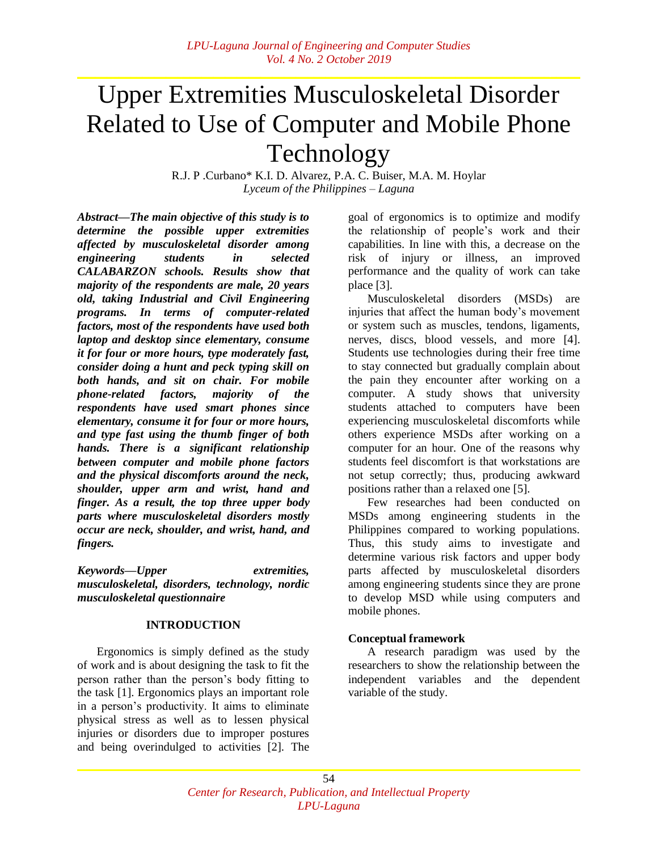# Upper Extremities Musculoskeletal Disorder Related to Use of Computer and Mobile Phone Technology

R.J. P .Curbano\* K.I. D. Alvarez, P.A. C. Buiser, M.A. M. Hoylar *Lyceum of the Philippines – Laguna*

*Abstract—The main objective of this study is to determine the possible upper extremities affected by musculoskeletal disorder among engineering students in selected CALABARZON schools. Results show that majority of the respondents are male, 20 years old, taking Industrial and Civil Engineering programs. In terms of computer-related factors, most of the respondents have used both laptop and desktop since elementary, consume it for four or more hours, type moderately fast, consider doing a hunt and peck typing skill on both hands, and sit on chair. For mobile phone-related factors, majority of the respondents have used smart phones since elementary, consume it for four or more hours, and type fast using the thumb finger of both hands. There is a significant relationship between computer and mobile phone factors and the physical discomforts around the neck, shoulder, upper arm and wrist, hand and finger. As a result, the top three upper body parts where musculoskeletal disorders mostly occur are neck, shoulder, and wrist, hand, and fingers.*

*Keywords—Upper extremities, musculoskeletal, disorders, technology, nordic musculoskeletal questionnaire*

#### **INTRODUCTION**

Ergonomics is simply defined as the study of work and is about designing the task to fit the person rather than the person's body fitting to the task [1]. Ergonomics plays an important role in a person's productivity. It aims to eliminate physical stress as well as to lessen physical injuries or disorders due to improper postures and being overindulged to activities [2]. The goal of ergonomics is to optimize and modify the relationship of people's work and their capabilities. In line with this, a decrease on the risk of injury or illness, an improved performance and the quality of work can take place [3].

Musculoskeletal disorders (MSDs) are injuries that affect the human body's movement or system such as muscles, tendons, ligaments, nerves, discs, blood vessels, and more [4]. Students use technologies during their free time to stay connected but gradually complain about the pain they encounter after working on a computer. A study shows that university students attached to computers have been experiencing musculoskeletal discomforts while others experience MSDs after working on a computer for an hour. One of the reasons why students feel discomfort is that workstations are not setup correctly; thus, producing awkward positions rather than a relaxed one [5].

Few researches had been conducted on MSDs among engineering students in the Philippines compared to working populations. Thus, this study aims to investigate and determine various risk factors and upper body parts affected by musculoskeletal disorders among engineering students since they are prone to develop MSD while using computers and mobile phones.

## **Conceptual framework**

A research paradigm was used by the researchers to show the relationship between the independent variables and the dependent variable of the study.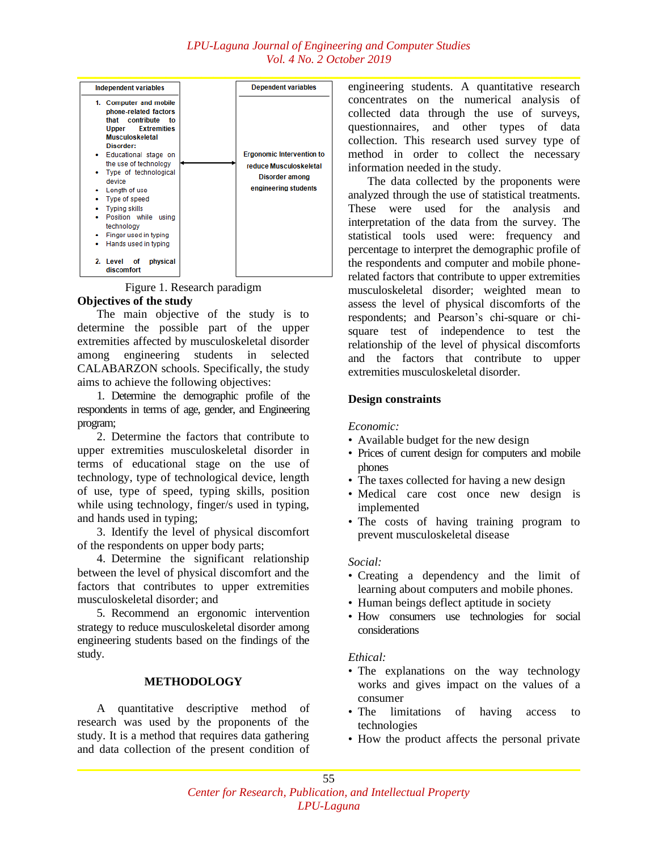

Figure 1. Research paradigm

## **Objectives of the study**

The main objective of the study is to determine the possible part of the upper extremities affected by musculoskeletal disorder among engineering students in selected CALABARZON schools. Specifically, the study aims to achieve the following objectives:

1. Determine the demographic profile of the respondents in terms of age, gender, and Engineering program;

2. Determine the factors that contribute to upper extremities musculoskeletal disorder in terms of educational stage on the use of technology, type of technological device, length of use, type of speed, typing skills, position while using technology, finger/s used in typing, and hands used in typing;

3. Identify the level of physical discomfort of the respondents on upper body parts;

4. Determine the significant relationship between the level of physical discomfort and the factors that contributes to upper extremities musculoskeletal disorder; and

5. Recommend an ergonomic intervention strategy to reduce musculoskeletal disorder among engineering students based on the findings of the study.

## **METHODOLOGY**

A quantitative descriptive method of research was used by the proponents of the study. It is a method that requires data gathering and data collection of the present condition of engineering students. A quantitative research concentrates on the numerical analysis of collected data through the use of surveys, questionnaires, and other types of data collection. This research used survey type of method in order to collect the necessary information needed in the study.

The data collected by the proponents were analyzed through the use of statistical treatments. These were used for the analysis and interpretation of the data from the survey. The statistical tools used were: frequency and percentage to interpret the demographic profile of the respondents and computer and mobile phonerelated factors that contribute to upper extremities musculoskeletal disorder; weighted mean to assess the level of physical discomforts of the respondents; and Pearson's chi-square or chisquare test of independence to test the relationship of the level of physical discomforts and the factors that contribute to upper extremities musculoskeletal disorder.

## **Design constraints**

## *Economic:*

- Available budget for the new design
- Prices of current design for computers and mobile phones
- The taxes collected for having a new design
- Medical care cost once new design is implemented
- The costs of having training program to prevent musculoskeletal disease

## *Social:*

- Creating a dependency and the limit of learning about computers and mobile phones.
- Human beings deflect aptitude in society
- How consumers use technologies for social considerations

## *Ethical:*

- The explanations on the way technology works and gives impact on the values of a consumer
- The limitations of having access to technologies
- How the product affects the personal private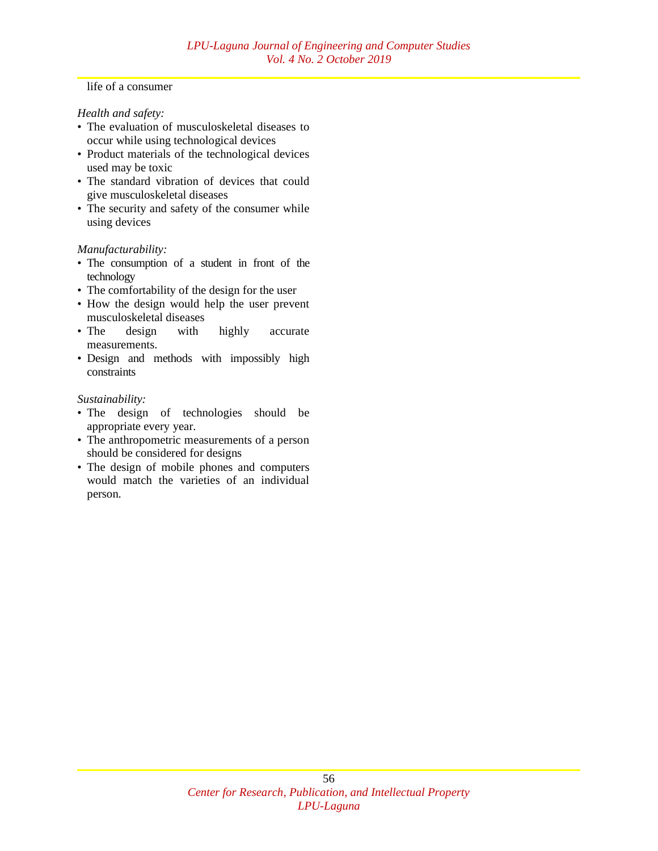#### life of a consumer

#### *Health and safety:*

- The evaluation of musculoskeletal diseases to occur while using technological devices
- Product materials of the technological devices used may be toxic
- The standard vibration of devices that could give musculoskeletal diseases
- The security and safety of the consumer while using devices

#### *Manufacturability:*

- The consumption of a student in front of the technology
- The comfortability of the design for the user
- How the design would help the user prevent musculoskeletal diseases
- The design with highly accurate measurements.
- Design and methods with impossibly high constraints

#### *Sustainability:*

- The design of technologies should be appropriate every year.
- The anthropometric measurements of a person should be considered for designs
- The design of mobile phones and computers would match the varieties of an individual person.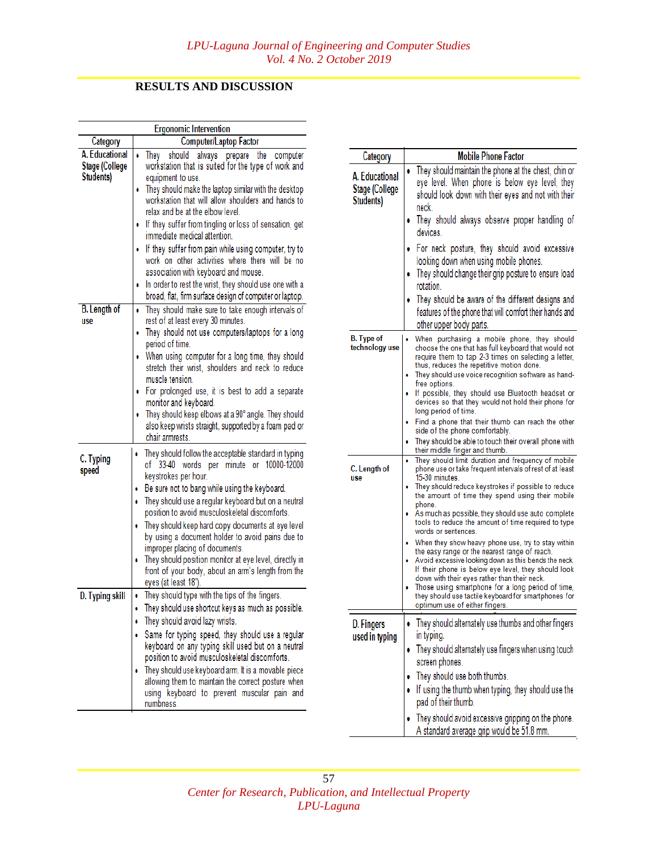## **RESULTS AND DISCUSSION**

| <b>Ergonomic Intervention</b>                 |                                                                                                                                                                                                                                                                                                                                                                                                                                                                                                                                                                                                                                                                         |  |
|-----------------------------------------------|-------------------------------------------------------------------------------------------------------------------------------------------------------------------------------------------------------------------------------------------------------------------------------------------------------------------------------------------------------------------------------------------------------------------------------------------------------------------------------------------------------------------------------------------------------------------------------------------------------------------------------------------------------------------------|--|
| Category                                      | <b>Computer/Laptop Factor</b>                                                                                                                                                                                                                                                                                                                                                                                                                                                                                                                                                                                                                                           |  |
| A. Educational<br>Stage (College<br>Students) | Thev<br>should always prepare the<br>computer<br>٠<br>workstation that is suited for the type of work and<br>equipment to use.<br>They should make the laptop similar with the desktop<br>۰<br>workstation that will allow shoulders and hands to<br>relax and be at the elbow level.<br>If they suffer from tingling or loss of sensation, get<br>۰<br>immediate medical attention.<br>If they suffer from pain while using computer, try to<br>٠<br>work on other activities where there will be no<br>association with keyboard and mouse.<br>In order to rest the wrist, they should use one with a<br>٥<br>broad, flat, firm surface design of computer or laptop. |  |
| <b>B.</b> Length of<br>use                    | They should make sure to take enough intervals of<br>٠<br>rest of at least every 30 minutes.<br>They should not use computers/laptops for a long<br>period of time.<br>When using computer for a long time, they should<br>٠<br>stretch their wrist, shoulders and neck to reduce<br>muscle tension.<br>For prolonged use, it is best to add a separate<br>۰<br>monitor and keyboard.<br>They should keep elbows at a 90° angle. They should<br>٠<br>also keep wrists straight, supported by a foam pad or<br>chair armrests.                                                                                                                                           |  |
| C. Typing<br>speed                            | They should follow the acceptable standard in typing<br>۰<br>of 33-40 words per<br>minute or 10000-12000<br>keystrokes per hour.<br>Be sure not to bang while using the keyboard.<br>۰<br>They should use a regular keyboard but on a neutral<br>٠<br>position to avoid musculoskeletal discomforts.<br>They should keep hard copy documents at eye level<br>by using a document holder to avoid pains due to<br>improper placing of documents.<br>They should position monitor at eye level, directly in<br>front of your body, about an arm's length from the<br>eyes (at least 18").                                                                                 |  |
| D. Typing skill                               | They should type with the tips of the fingers.<br>They should use shortcut keys as much as possible.<br>They should avoid lazy wrists.<br>Same for typing speed, they should use a regular<br>keyboard on any typing skill used but on a neutral<br>position to avoid musculoskeletal discomforts.<br>They should use keyboard arm. It is a movable piece<br>allowing them to maintain the correct posture when<br>using keyboard to prevent muscular pain and<br>numbness.                                                                                                                                                                                             |  |

| Category                                             | <b>Mobile Phone Factor</b>                                                                                                                                                                                                                                                                                                                                                                                                                                                                                                                                                                                                                                                                                                                                                                                          |
|------------------------------------------------------|---------------------------------------------------------------------------------------------------------------------------------------------------------------------------------------------------------------------------------------------------------------------------------------------------------------------------------------------------------------------------------------------------------------------------------------------------------------------------------------------------------------------------------------------------------------------------------------------------------------------------------------------------------------------------------------------------------------------------------------------------------------------------------------------------------------------|
| A. Educational<br><b>Stage (College</b><br>Students) | They should maintain the phone at the chest, chin or<br>٠<br>eye level. When phone is below eye level, they<br>should look down with their eyes and not with their<br>neck.<br>They should always observe proper handling of<br>۰<br>devices.                                                                                                                                                                                                                                                                                                                                                                                                                                                                                                                                                                       |
|                                                      | For neck posture, they should avoid excessive<br>looking down when using mobile phones.<br>They should change their grip posture to ensure load<br>۰<br>rotation.                                                                                                                                                                                                                                                                                                                                                                                                                                                                                                                                                                                                                                                   |
|                                                      | They should be aware of the different designs and<br>٠<br>features of the phone that will comfort their hands and<br>other upper body parts.                                                                                                                                                                                                                                                                                                                                                                                                                                                                                                                                                                                                                                                                        |
| <b>B.</b> Type of<br>technology use                  | When purchasing a mobile phone, they should<br>choose the one that has full keyboard that would not<br>require them to tap 2-3 times on selecting a letter,<br>thus, reduces the repetitive motion done.<br>They should use voice recognition software as hand-<br>free options.<br>If possible, they should use Bluetooth headset or<br>devices so that they would not hold their phone for                                                                                                                                                                                                                                                                                                                                                                                                                        |
|                                                      | long period of time.<br>Find a phone that their thumb can reach the other<br>side of the phone comfortably.<br>They should be able to touch their overall phone with<br>their middle finger and thumb.                                                                                                                                                                                                                                                                                                                                                                                                                                                                                                                                                                                                              |
| C. Length of<br>use                                  | They should limit duration and frequency of mobile<br>۰<br>phone use or take frequent intervals of rest of at least<br>15-30 minutes.<br>They should reduce keystrokes if possible to reduce<br>the amount of time they spend using their mobile<br>phone.<br>As much as possible, they should use auto complete<br>tools to reduce the amount of time required to type<br>words or sentences.<br>When they show heavy phone use, try to stay within<br>the easy range or the nearest range of reach.<br>Avoid excessive looking down as this bends the neck.<br>If their phone is below eye level, they should look<br>down with their eyes rather than their neck.<br>Those using smartphone for a long period of time,<br>they should use tactile keyboard for smartphones for<br>optimum use of either fingers. |
| D. Fingers<br>used in typing                         | • They should alternately use thumbs and other fingers<br>in typing.<br>• They should alternately use fingers when using touch<br>screen phones.<br>They should use both thumbs.<br>. If using the thumb when typing, they should use the<br>pad of their thumb.                                                                                                                                                                                                                                                                                                                                                                                                                                                                                                                                                    |
|                                                      | They should avoid excessive gripping on the phone.<br>A standard average grip would be 51.8 mm.                                                                                                                                                                                                                                                                                                                                                                                                                                                                                                                                                                                                                                                                                                                     |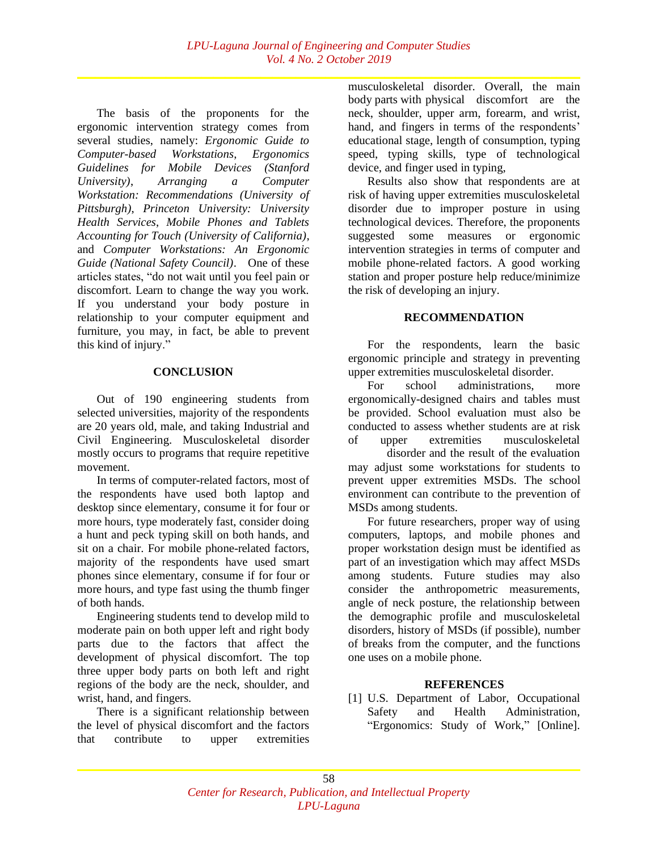The basis of the proponents for the ergonomic intervention strategy comes from several studies, namely: *Ergonomic Guide to Computer-based Workstations*, *Ergonomics Guidelines for Mobile Devices (Stanford University)*, *Arranging a Computer Workstation: Recommendations (University of Pittsburgh)*, *Princeton University: University Health Services*, *Mobile Phones and Tablets Accounting for Touch (University of California)*, and *Computer Workstations: An Ergonomic Guide (National Safety Council)*. One of these articles states, "do not wait until you feel pain or discomfort. Learn to change the way you work. If you understand your body posture in relationship to your computer equipment and furniture, you may, in fact, be able to prevent this kind of injury."

#### **CONCLUSION**

Out of 190 engineering students from selected universities, majority of the respondents are 20 years old, male, and taking Industrial and Civil Engineering. Musculoskeletal disorder mostly occurs to programs that require repetitive movement.

In terms of computer-related factors, most of the respondents have used both laptop and desktop since elementary, consume it for four or more hours, type moderately fast, consider doing a hunt and peck typing skill on both hands, and sit on a chair. For mobile phone-related factors, majority of the respondents have used smart phones since elementary, consume if for four or more hours, and type fast using the thumb finger of both hands.

Engineering students tend to develop mild to moderate pain on both upper left and right body parts due to the factors that affect the development of physical discomfort. The top three upper body parts on both left and right regions of the body are the neck, shoulder, and wrist, hand, and fingers.

There is a significant relationship between the level of physical discomfort and the factors that contribute to upper extremities

musculoskeletal disorder. Overall, the main body parts with physical discomfort are the neck, shoulder, upper arm, forearm, and wrist, hand, and fingers in terms of the respondents' educational stage, length of consumption, typing speed, typing skills, type of technological device, and finger used in typing,

Results also show that respondents are at risk of having upper extremities musculoskeletal disorder due to improper posture in using technological devices. Therefore, the proponents suggested some measures or ergonomic intervention strategies in terms of computer and mobile phone-related factors. A good working station and proper posture help reduce/minimize the risk of developing an injury.

#### **RECOMMENDATION**

For the respondents, learn the basic ergonomic principle and strategy in preventing upper extremities musculoskeletal disorder.

For school administrations, more ergonomically-designed chairs and tables must be provided. School evaluation must also be conducted to assess whether students are at risk of upper extremities musculoskeletal

disorder and the result of the evaluation may adjust some workstations for students to prevent upper extremities MSDs. The school environment can contribute to the prevention of MSDs among students.

For future researchers, proper way of using computers, laptops, and mobile phones and proper workstation design must be identified as part of an investigation which may affect MSDs among students. Future studies may also consider the anthropometric measurements, angle of neck posture, the relationship between the demographic profile and musculoskeletal disorders, history of MSDs (if possible), number of breaks from the computer, and the functions one uses on a mobile phone.

#### **REFERENCES**

[1] U.S. Department of Labor, Occupational Safety and Health Administration, "Ergonomics: Study of Work," [Online].